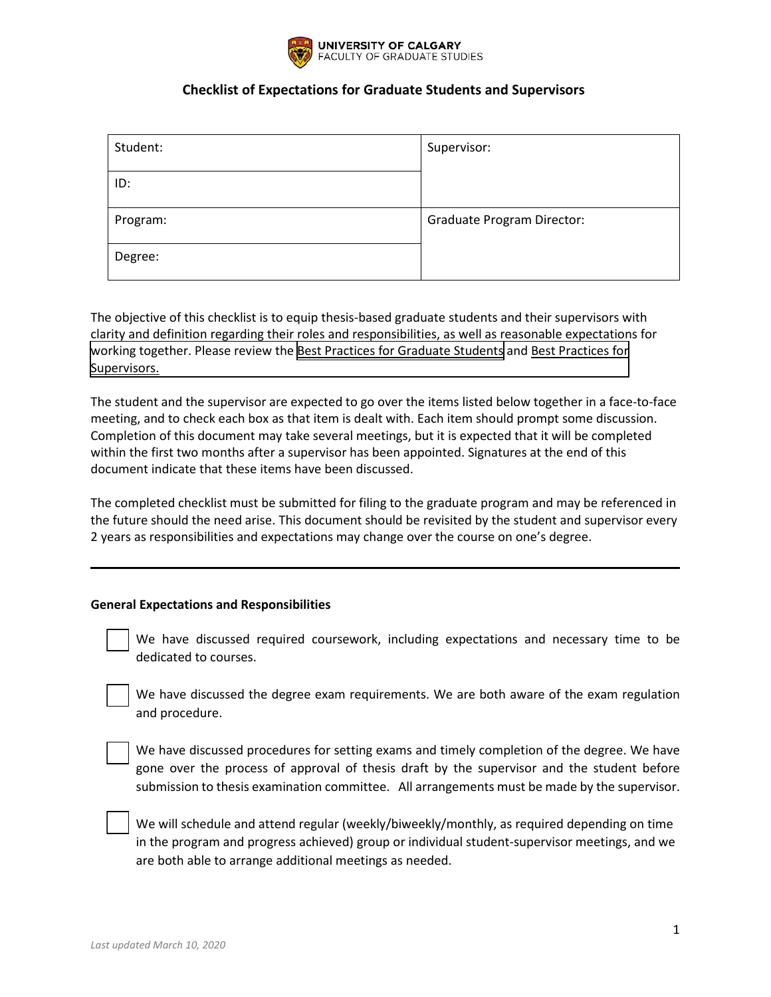

| Student: | Supervisor:                       |
|----------|-----------------------------------|
| ID:      |                                   |
| Program: | <b>Graduate Program Director:</b> |
| Degree:  |                                   |

The objective of this checklist is to equip thesis-based graduate students and their supervisors with clarity and definition regarding their roles and responsibilities, as well as reasonable expectations for [working together. Please review the](https://grad.ucalgary.ca/sites/default/files/teams/3/Best%20Practices_Supervisors_Jan%202020%20Update.pdf) [Best Practices for Graduate Student](https://grad.ucalgary.ca/current-students/thesis-based-students/supervision/best-practices-and-guidelines)[s](https://grad.ucalgary.ca/sites/default/files/teams/3/Best%20Practices_Supervisors_Jan%202020%20Update.pdf) and Best Practices for Supervisors.

The student and the supervisor are expected to go over the items listed below together in a face-to-face meeting, and to check each box as that item is dealt with. Each item should prompt some discussion. Completion of this document may take several meetings, but it is expected that it will be completed within the first two months after a supervisor has been appointed. Signatures at the end of this document indicate that these items have been discussed.

The completed checklist must be submitted for filing to the graduate program and may be referenced in the future should the need arise. This document should be revisited by the student and supervisor every 2 years as responsibilities and expectations may change over the course on one's degree.

#### **General Expectations and Responsibilities**

 We have discussed required coursework, including expectations and necessary time to be dedicated to courses.

 We have discussed the degree exam requirements. We are both aware of the exam regulation and procedure.

 We have discussed procedures for setting exams and timely completion of the degree. We have gone over the process of approval of thesis draft by the supervisor and the student before submission to thesis examination committee. All arrangements must be made by the supervisor.

 We will schedule and attend regular (weekly/biweekly/monthly, as required depending on time in the program and progress achieved) group or individual student-supervisor meetings, and we are both able to arrange additional meetings as needed.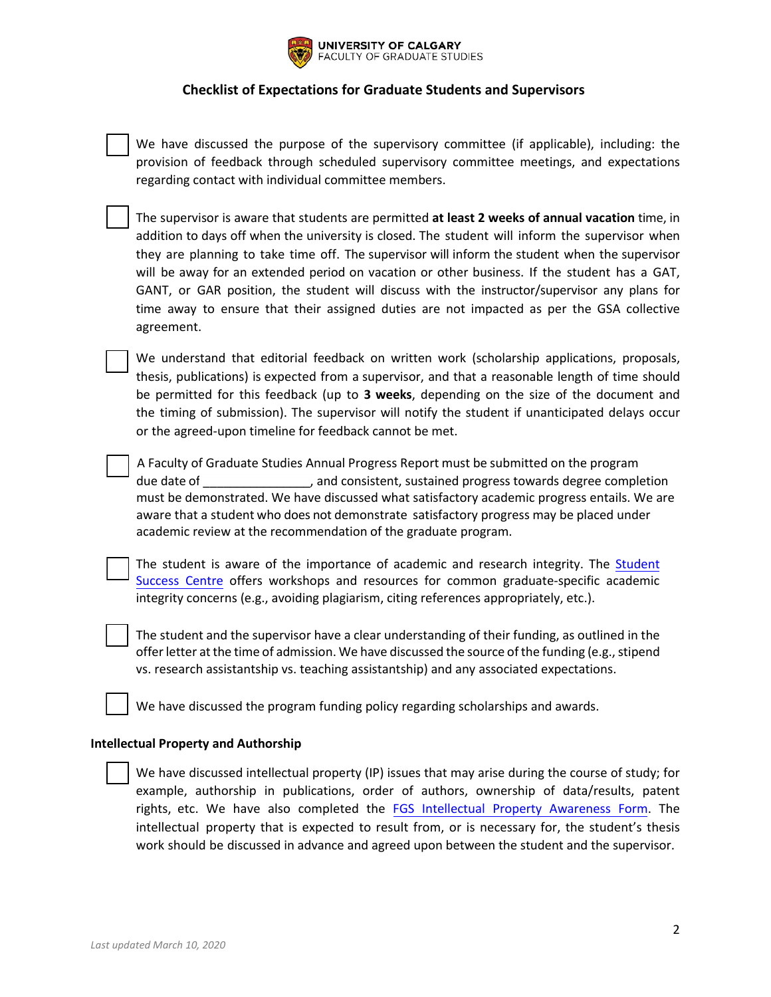

 We have discussed the purpose of the supervisory committee (if applicable), including: the provision of feedback through scheduled supervisory committee meetings, and expectations regarding contact with individual committee members.

 The supervisor is aware that students are permitted **at least 2 weeks of annual vacation** time, in addition to days off when the university is closed. The student will inform the supervisor when they are planning to take time off. The supervisor will inform the student when the supervisor will be away for an extended period on vacation or other business. If the student has a GAT, GANT, or GAR position, the student will discuss with the instructor/supervisor any plans for time away to ensure that their assigned duties are not impacted as per the GSA collective agreement.

We understand that editorial feedback on written work (scholarship applications, proposals, thesis, publications) is expected from a supervisor, and that a reasonable length of time should be permitted for this feedback (up to **3 weeks**, depending on the size of the document and the timing of submission). The supervisor will notify the student if unanticipated delays occur or the agreed-upon timeline for feedback cannot be met.

A Faculty of Graduate Studies Annual Progress Report must be submitted on the program due date of  $\Box$  and consistent, sustained progress towards degree completion must be demonstrated. We have discussed what satisfactory academic progress entails. We are aware that a student who does not demonstrate satisfactory progress may be placed under academic review at the recommendation of the graduate program.

The student is aware of the importance of academic and research integrity. The [Student](https://ucalgary.ca/student-services/student-success)  [Success Centre](https://ucalgary.ca/student-services/student-success) offers workshops and resources for common graduate-specific academic integrity concerns (e.g., avoiding plagiarism, citing references appropriately, etc.).

The student and the supervisor have a clear understanding of their funding, as outlined in the offer letter at the time of admission. We have discussed the source of the funding (e.g., stipend vs. research assistantship vs. teaching assistantship) and any associated expectations.

We have discussed the program funding policy regarding scholarships and awards.

#### **Intellectual Property and Authorship**

 We have discussed intellectual property (IP) issues that may arise during the course of study; for example, authorship in publications, order of authors, ownership of data/results, patent rights, etc. We have also completed the [FGS Intellectual Property Awareness Form.](https://grad.ucalgary.ca/current-students/thesis-based-students/thesis/intellectual-property) The intellectual property that is expected to result from, or is necessary for, the student's thesis work should be discussed in advance and agreed upon between the student and the supervisor.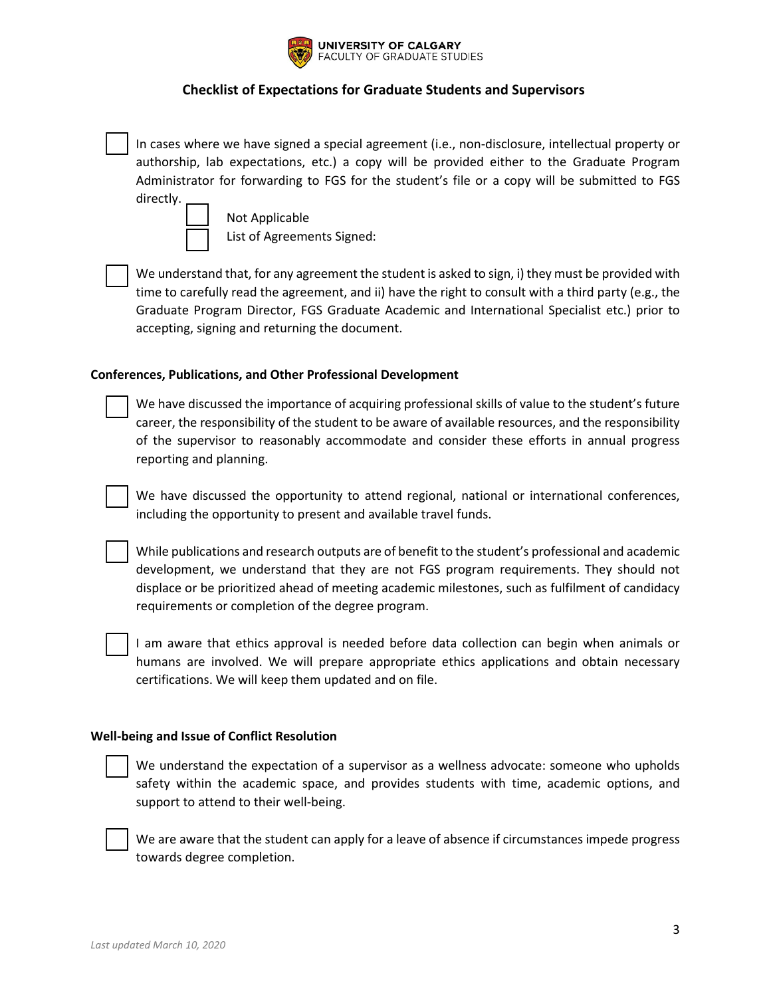

 In cases where we have signed a special agreement (i.e., non-disclosure, intellectual property or authorship, lab expectations, etc.) a copy will be provided either to the Graduate Program Administrator for forwarding to FGS for the student's file or a copy will be submitted to FGS directly.

 Not Applicable List of Agreements Signed:

 We understand that, for any agreement the student is asked to sign, i) they must be provided with time to carefully read the agreement, and ii) have the right to consult with a third party (e.g., the Graduate Program Director, FGS Graduate Academic and International Specialist etc.) prior to accepting, signing and returning the document.

### **Conferences, Publications, and Other Professional Development**

 We have discussed the importance of acquiring professional skills of value to the student's future career, the responsibility of the student to be aware of available resources, and the responsibility of the supervisor to reasonably accommodate and consider these efforts in annual progress reporting and planning.

We have discussed the opportunity to attend regional, national or international conferences, including the opportunity to present and available travel funds.

 While publications and research outputs are of benefit to the student's professional and academic development, we understand that they are not FGS program requirements. They should not displace or be prioritized ahead of meeting academic milestones, such as fulfilment of candidacy requirements or completion of the degree program.



 I am aware that ethics approval is needed before data collection can begin when animals or humans are involved. We will prepare appropriate ethics applications and obtain necessary certifications. We will keep them updated and on file.

#### **Well-being and Issue of Conflict Resolution**

 We understand the expectation of a supervisor as a wellness advocate: someone who upholds safety within the academic space, and provides students with time, academic options, and support to attend to their well-being.

 We are aware that the student can apply for a leave of absence if circumstances impede progress towards degree completion.